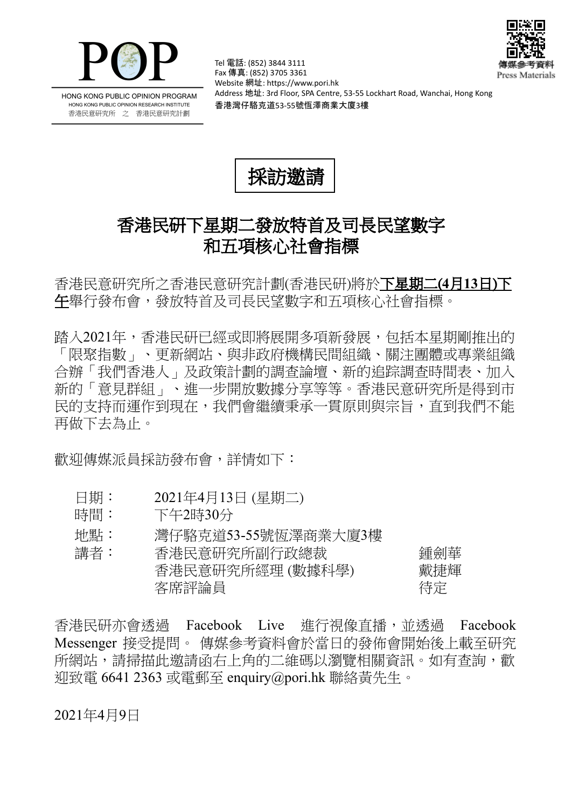



HONG KONG PUBLIC OPINION PROGRAM HONG KONG PUBLIC OPINION RESEARCH INSTITUTE 香港民意研究所 之 香港民意研究計劃

Tel 電話: (852) 3844 3111 Fax 傳真: (852) 3705 3361 Website 網址: https://www.pori.hk Address 地址: 3rd Floor, SPA Centre, 53-55 Lockhart Road, Wanchai, Hong Kong 香港灣仔駱克道53-55號恆澤商業大廈3樓



## 香港民研下星期二發放特首及司長民望數字 和五項核心社會指標

香港民意研究所之香港民意研究計劃(香港民研)將於下星期二(**4**月**13**日)下 午舉行發布會,發放特首及司長民望數字和五項核心社會指標。

踏入2021年,香港民研已經或即將展開多項新發展,包括本星期剛推出的 「限聚指數」、更新網站、與非政府機構民間組織、關注團體或專業組織 合辦「我們香港人」及政策計劃的調查論壇、新的追踪調查時間表、加入 新的「意見群組」、進一步開放數據分享等等。香港民意研究所是得到市 民的支持而運作到現在,我們會繼續秉承一貫原則與宗旨,直到我們不能 再做下去為止。

歡迎傳媒派員採訪發布會,詳情如下:

- 日期: 2021年4月13日 (星期二)
- 時間: 下午2時30分
- 地點: 灣仔駱克道53-55號恆澤商業大廈3樓

| 講者: | 香港民意研究所副行政總裁     | 鍾劍華 |
|-----|------------------|-----|
|     | 香港民意研究所經理 (數據科學) | 戴捷輝 |
|     | 客席評論員            | 待定  |

香港民研亦會诱過 Facebook Live 淮行視像直播,並诱過 Facebook Messenger 接受提問。 傳媒參考資料會於當日的發佈會開始後上載至研究 所網站,請掃描此邀請函右上角的二維碼以瀏覽相關資訊。如有查詢,歡 迎致電 6641 2363 或電郵至 enquiry@pori.hk 聯絡黃先生。

2021年4月9日